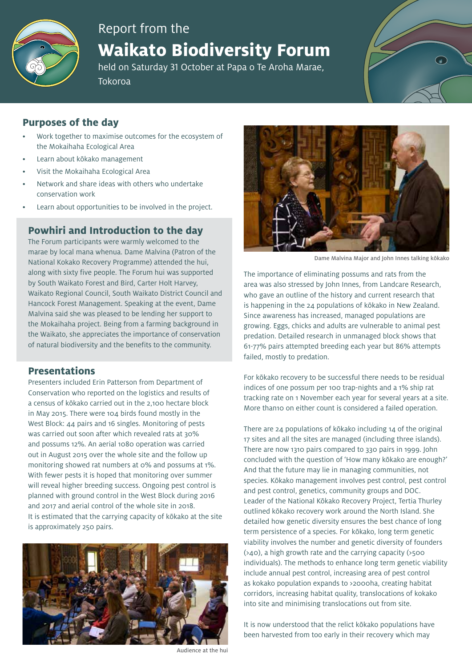

# Report from the

# **Waikato Biodiversity Forum**

held on Saturday 31 October at Papa o Te Aroha Marae, Tokoroa

## **Purposes of the day**

- Work together to maximise outcomes for the ecosystem of the Mokaihaha Ecological Area
- Learn about kōkako management
- Visit the Mokaihaha Ecological Area
- Network and share ideas with others who undertake conservation work
- Learn about opportunities to be involved in the project.

### **Powhiri and Introduction to the day**

The Forum participants were warmly welcomed to the marae by local mana whenua. Dame Malvina (Patron of the National Kokako Recovery Programme) attended the hui, along with sixty five people. The Forum hui was supported by South Waikato Forest and Bird, Carter Holt Harvey, Waikato Regional Council, South Waikato District Council and Hancock Forest Management. Speaking at the event, Dame Malvina said she was pleased to be lending her support to the Mokaihaha project. Being from a farming background in the Waikato, she appreciates the importance of conservation of natural biodiversity and the benefits to the community.

#### **Presentations**

Presenters included Erin Patterson from Department of Conservation who reported on the logistics and results of a census of kōkako carried out in the 2,100 hectare block in May 2015. There were 104 birds found mostly in the West Block: 44 pairs and 16 singles. Monitoring of pests was carried out soon after which revealed rats at 30% and possums 12%. An aerial 1080 operation was carried out in August 2015 over the whole site and the follow up monitoring showed rat numbers at 0% and possums at 1%. With fewer pests it is hoped that monitoring over summer will reveal higher breeding success. Ongoing pest control is planned with ground control in the West Block during 2016 and 2017 and aerial control of the whole site in 2018. It is estimated that the carrying capacity of kōkako at the site is approximately 250 pairs.



Audience at the hui



Dame Malvina Major and John Innes talking kōkako

The importance of eliminating possums and rats from the area was also stressed by John Innes, from Landcare Research, who gave an outline of the history and current research that is happening in the 24 populations of kōkako in New Zealand. Since awareness has increased, managed populations are growing. Eggs, chicks and adults are vulnerable to animal pest predation. Detailed research in unmanaged block shows that 61-77% pairs attempted breeding each year but 86% attempts failed, mostly to predation.

For kōkako recovery to be successful there needs to be residual indices of one possum per 100 trap-nights and a 1% ship rat tracking rate on 1 November each year for several years at a site. More than10 on either count is considered a failed operation.

There are 24 populations of kōkako including 14 of the original 17 sites and all the sites are managed (including three islands). There are now 1310 pairs compared to 330 pairs in 1999. John concluded with the question of 'How many kōkako are enough?' And that the future may lie in managing communities, not species. Kōkako management involves pest control, pest control and pest control, genetics, community groups and DOC. Leader of the National Kōkako Recovery Project, Tertia Thurley outlined kōkako recovery work around the North Island. She detailed how genetic diversity ensures the best chance of long term persistence of a species. For kōkako, long term genetic viability involves the number and genetic diversity of founders (>40), a high growth rate and the carrying capacity (>500 individuals). The methods to enhance long term genetic viability include annual pest control, increasing area of pest control as kokako population expands to >2000ha, creating habitat corridors, increasing habitat quality, translocations of kokako into site and minimising translocations out from site.

It is now understood that the relict kōkako populations have been harvested from too early in their recovery which may